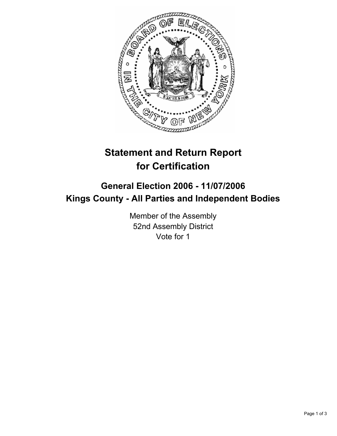

## **Statement and Return Report for Certification**

## **General Election 2006 - 11/07/2006 Kings County - All Parties and Independent Bodies**

Member of the Assembly 52nd Assembly District Vote for 1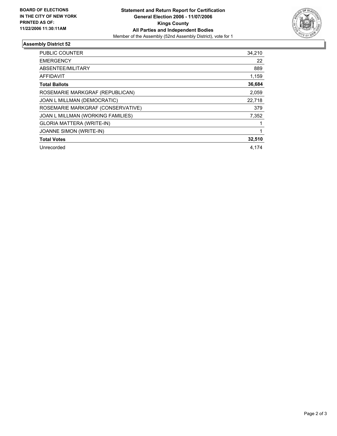

## **Assembly District 52**

| <b>PUBLIC COUNTER</b>             | 34,210 |
|-----------------------------------|--------|
| <b>EMERGENCY</b>                  | 22     |
| ABSENTEE/MILITARY                 | 889    |
| <b>AFFIDAVIT</b>                  | 1,159  |
| <b>Total Ballots</b>              | 36,684 |
| ROSEMARIE MARKGRAF (REPUBLICAN)   | 2,059  |
| JOAN L MILLMAN (DEMOCRATIC)       | 22,718 |
| ROSEMARIE MARKGRAF (CONSERVATIVE) | 379    |
| JOAN L MILLMAN (WORKING FAMILIES) | 7,352  |
| <b>GLORIA MATTERA (WRITE-IN)</b>  |        |
| JOANNE SIMON (WRITE-IN)           |        |
| <b>Total Votes</b>                | 32,510 |
| Unrecorded                        | 4.174  |